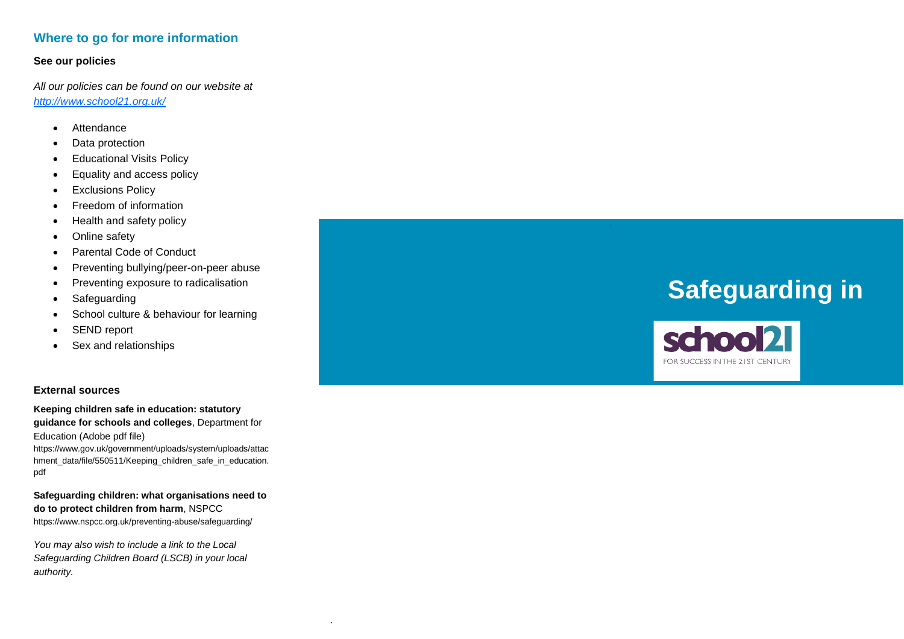# **Where to go for more information**

#### **See our policies**

*All our policies can be found on our website at <http://www.school21.org.uk/>*

- [Attendance](https://drive.google.com/file/d/17Ho48nyJm8aQXSelsiiSZhKbPzQA23UF/view?usp=sharing)
- Data [protection](https://drive.google.com/file/d/0B8dMu29q51rAZnQ3U0ZRNkJobGM/view?usp=sharing)
- **•** [Educational](https://drive.google.com/file/d/0B68uDtK8dVZyNUVHMUZFakJlOTQ/view?usp=sharing) Visits Policy
- [Equality](https://drive.google.com/file/d/0B68uDtK8dVZyLU0wVWR2OXZNWjA/view?usp=sharing) and access policy
- **•** [Exclusions](https://drive.google.com/file/d/0B68uDtK8dVZySXRHNzZIRUlPWjg/view?usp=sharing) Policy
- Freedom of [information](https://drive.google.com/file/d/0B68uDtK8dVZyTTdsdWk4NmNFTlU/view?usp=sharing)
- [Health](https://drive.google.com/file/d/0B8dMu29q51rAMUdSUGEzTXdMQkE/view?usp=sharing) and safety policy
- [Online](https://drive.google.com/file/d/1wwbli-06xysXZPNv5HBsVeLJAhJ3yB14/view?usp=sharing) safety
- Parental Code of [Conduct](https://drive.google.com/open?id=122H-WE388nSve_LQoL9sobSS-eQarnwT)
- Preventing [bullying/peer-on](https://drive.google.com/file/d/1XnrZL1Dvy5GQRWYE2G9zubKcxFpWCKym/view?usp=sharing)-peer abuse
- Preventing exposure to [radicalisation](https://drive.google.com/file/d/1HjHWSTlA2kM7FvKXyl578ivoNjW-ewoB/view?usp=sharing)
- [Safeguarding](https://drive.google.com/file/d/1i09Kq2FemayYD8lLUH5Hvd6eHzhB6py0/view?usp=sharing)
- School culture & [behaviour](https://drive.google.com/file/d/0B68uDtK8dVZyNmpuRUFRT2l5cXc/view?usp=sharing) for learning
- [SEND](https://drive.google.com/file/d/0B68uDtK8dVZybWNfdTZBTldvVDQ/view?usp=sharing) report
- Sex and [relationships](https://drive.google.com/file/d/0B68uDtK8dVZyU3FfeDB5eXdSSnc/view?usp=sharing)

#### **External sources**

**Keeping children safe in education: statutory guidance for schools and colleges**, Department for Education (Adobe pdf file)

https://www.gov.uk/government/uploads/system/uploads/attac hment\_data/file/550511/Keeping\_children\_safe\_in\_education. pdf

**Safeguarding children: what organisations need to do to protect children from harm**, NSPC C https://www.nspcc.org.uk/preventing -abuse/safeguarding/

.

*You may also wish to include a link to the Local Safeguarding Children Board (LSCB) in your local authority.* 

# **Safeguarding in**